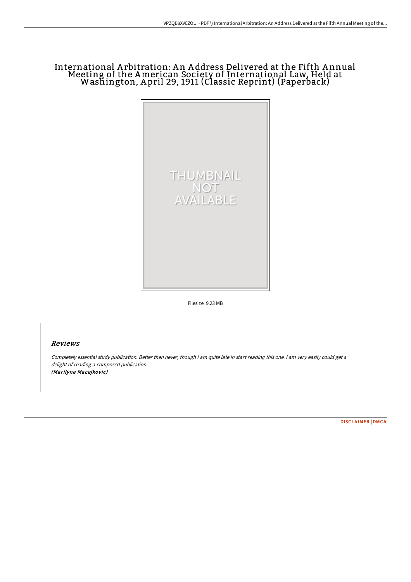# International A rbitration: A n A ddress Delivered at the Fifth A nnual Meeting of the American Society of International Law, Held at Washington, A pril 29, 1911 (Classic Reprint) (Paperback)



Filesize: 9.23 MB

## Reviews

Completely essential study publication. Better then never, though i am quite late in start reading this one. I am very easily could get <sup>a</sup> delight of reading <sup>a</sup> composed publication. (Marilyne Macejkovic)

[DISCLAIMER](http://www.bookdirs.com/disclaimer.html) | [DMCA](http://www.bookdirs.com/dmca.html)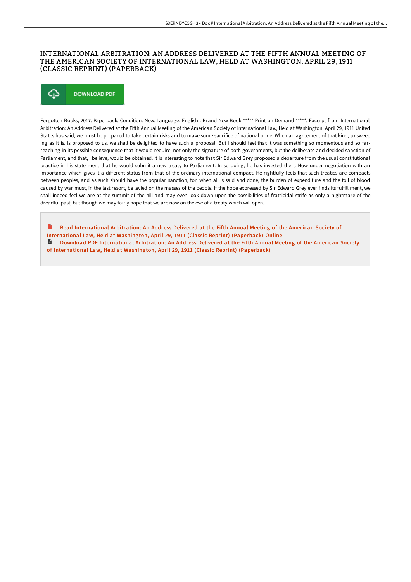## INTERNATIONAL ARBITRATION: AN ADDRESS DELIVERED AT THE FIFTH ANNUAL MEETING OF THE AMERICAN SOCIETY OF INTERNATIONAL LAW, HELD AT WASHINGTON, APRIL 29, 1911 (CLASSIC REPRINT) (PAPERBACK)

## Φ **DOWNLOAD PDF**

Forgotten Books, 2017. Paperback. Condition: New. Language: English . Brand New Book \*\*\*\*\* Print on Demand \*\*\*\*\*. Excerpt from International Arbitration: An Address Delivered at the FiEh Annual Meeting of the American Society of International Law, Held at Washington, April 29, 1911 United States has said, we must be prepared to take certain risks and to make some sacrifice of national pride. When an agreement of that kind, so sweep ing as it is. Is proposed to us, we shall be delighted to have such a proposal. But I should feel that it was something so momentous and so farreaching in its possible consequence that it would require, not only the signature of both governments, but the deliberate and decided sanction of Parliament, and that, I believe, would be obtained. It is interesting to note that Sir Edward Grey proposed a departure from the usual constitutional practice in his state ment that he would submit a new treaty to Parliament. In so doing, he has invested the t. Now under negotiation with an importance which gives it a different status from that of the ordinary international compact. He rightfully feels that such treaties are compacts between peoples, and as such should have the popular sanction, for, when all is said and done, the burden of expenditure and the toil of blood caused by war must, in the last resort, be levied on the masses of the people. If the hope expressed by Sir Edward Grey ever finds its fulfill ment, we shall indeed feel we are at the summit of the hill and may even look down upon the possibilities of fratricidal strife as only a nightmare of the dreadful past; but though we may fairly hope that we are now on the eve of a treaty which will open...

B Read [International](http://www.bookdirs.com/international-arbitration-an-address-delivered-a.html) Arbitration: An Address Delivered at the Fifth Annual Meeting of the American Society of International Law, Held at Washington, April 29, 1911 (Classic Reprint) (Paperback) Online Download PDF [International](http://www.bookdirs.com/international-arbitration-an-address-delivered-a.html) Arbitration: An Address Delivered at the Fifth Annual Meeting of the American Society of International Law, Held at Washington, April 29, 1911 (Classic Reprint) (Paperback)